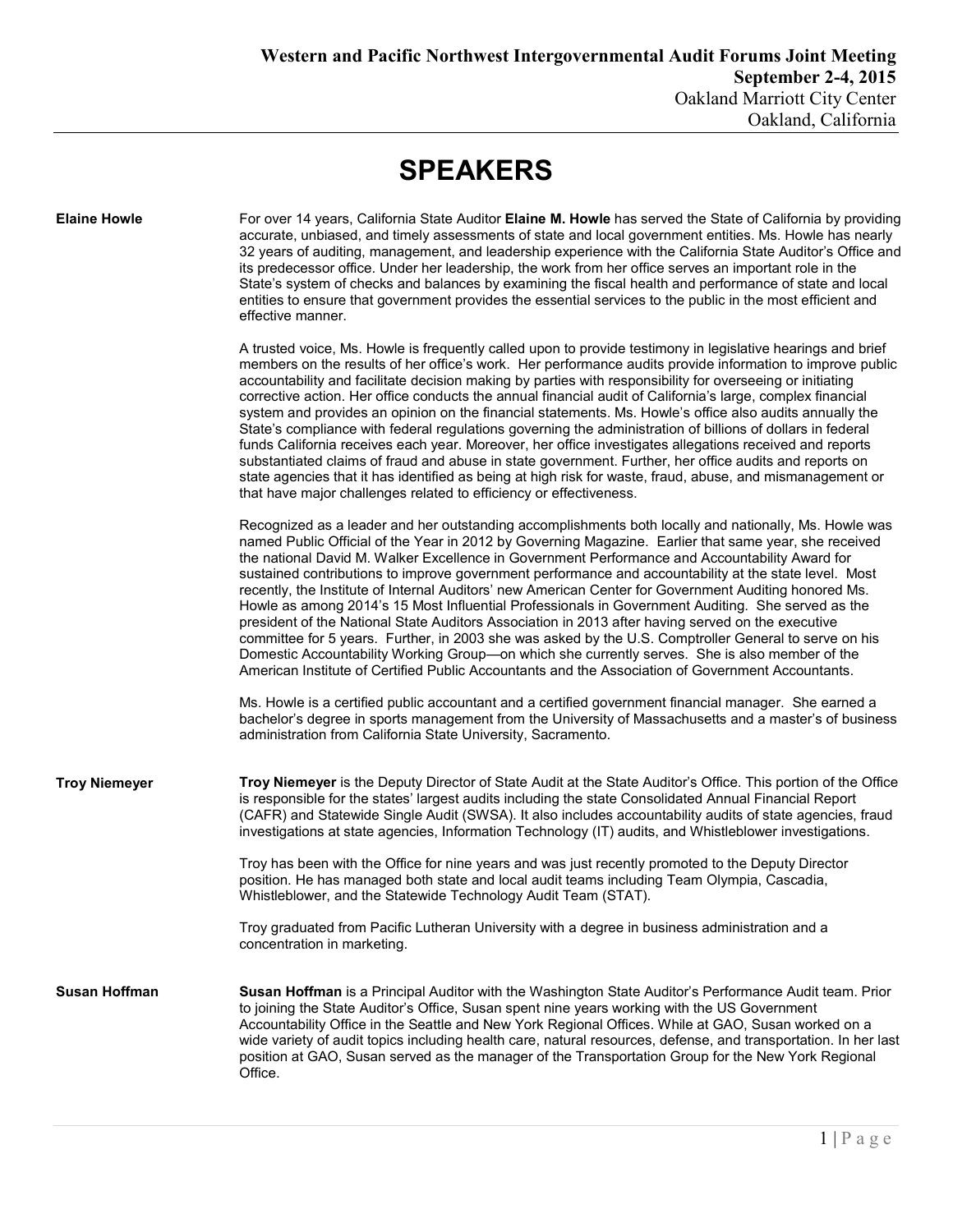## **SPEAKERS**

| <b>Elaine Howle</b>  | For over 14 years, California State Auditor Elaine M. Howle has served the State of California by providing<br>accurate, unbiased, and timely assessments of state and local government entities. Ms. Howle has nearly<br>32 years of auditing, management, and leadership experience with the California State Auditor's Office and<br>its predecessor office. Under her leadership, the work from her office serves an important role in the<br>State's system of checks and balances by examining the fiscal health and performance of state and local<br>entities to ensure that government provides the essential services to the public in the most efficient and<br>effective manner.                                                                                                                                                                                                                                                                                                                                                                                         |
|----------------------|--------------------------------------------------------------------------------------------------------------------------------------------------------------------------------------------------------------------------------------------------------------------------------------------------------------------------------------------------------------------------------------------------------------------------------------------------------------------------------------------------------------------------------------------------------------------------------------------------------------------------------------------------------------------------------------------------------------------------------------------------------------------------------------------------------------------------------------------------------------------------------------------------------------------------------------------------------------------------------------------------------------------------------------------------------------------------------------|
|                      | A trusted voice, Ms. Howle is frequently called upon to provide testimony in legislative hearings and brief<br>members on the results of her office's work. Her performance audits provide information to improve public<br>accountability and facilitate decision making by parties with responsibility for overseeing or initiating<br>corrective action. Her office conducts the annual financial audit of California's large, complex financial<br>system and provides an opinion on the financial statements. Ms. Howle's office also audits annually the<br>State's compliance with federal regulations governing the administration of billions of dollars in federal<br>funds California receives each year. Moreover, her office investigates allegations received and reports<br>substantiated claims of fraud and abuse in state government. Further, her office audits and reports on<br>state agencies that it has identified as being at high risk for waste, fraud, abuse, and mismanagement or<br>that have major challenges related to efficiency or effectiveness. |
|                      | Recognized as a leader and her outstanding accomplishments both locally and nationally, Ms. Howle was<br>named Public Official of the Year in 2012 by Governing Magazine. Earlier that same year, she received<br>the national David M. Walker Excellence in Government Performance and Accountability Award for<br>sustained contributions to improve government performance and accountability at the state level. Most<br>recently, the Institute of Internal Auditors' new American Center for Government Auditing honored Ms.<br>Howle as among 2014's 15 Most Influential Professionals in Government Auditing. She served as the<br>president of the National State Auditors Association in 2013 after having served on the executive<br>committee for 5 years. Further, in 2003 she was asked by the U.S. Comptroller General to serve on his<br>Domestic Accountability Working Group-on which she currently serves. She is also member of the<br>American Institute of Certified Public Accountants and the Association of Government Accountants.                         |
|                      | Ms. Howle is a certified public accountant and a certified government financial manager. She earned a<br>bachelor's degree in sports management from the University of Massachusetts and a master's of business<br>administration from California State University, Sacramento.                                                                                                                                                                                                                                                                                                                                                                                                                                                                                                                                                                                                                                                                                                                                                                                                      |
| <b>Troy Niemeyer</b> | Troy Niemeyer is the Deputy Director of State Audit at the State Auditor's Office. This portion of the Office<br>is responsible for the states' largest audits including the state Consolidated Annual Financial Report<br>(CAFR) and Statewide Single Audit (SWSA). It also includes accountability audits of state agencies, fraud<br>investigations at state agencies, Information Technology (IT) audits, and Whistleblower investigations.                                                                                                                                                                                                                                                                                                                                                                                                                                                                                                                                                                                                                                      |
|                      | Troy has been with the Office for nine years and was just recently promoted to the Deputy Director<br>position. He has managed both state and local audit teams including Team Olympia, Cascadia,<br>Whistleblower, and the Statewide Technology Audit Team (STAT).                                                                                                                                                                                                                                                                                                                                                                                                                                                                                                                                                                                                                                                                                                                                                                                                                  |
|                      | Troy graduated from Pacific Lutheran University with a degree in business administration and a<br>concentration in marketing.                                                                                                                                                                                                                                                                                                                                                                                                                                                                                                                                                                                                                                                                                                                                                                                                                                                                                                                                                        |
| <b>Susan Hoffman</b> | Susan Hoffman is a Principal Auditor with the Washington State Auditor's Performance Audit team. Prior<br>to joining the State Auditor's Office, Susan spent nine years working with the US Government<br>Accountability Office in the Seattle and New York Regional Offices. While at GAO, Susan worked on a<br>wide variety of audit topics including health care, natural resources, defense, and transportation. In her last<br>position at GAO, Susan served as the manager of the Transportation Group for the New York Regional<br>Office.                                                                                                                                                                                                                                                                                                                                                                                                                                                                                                                                    |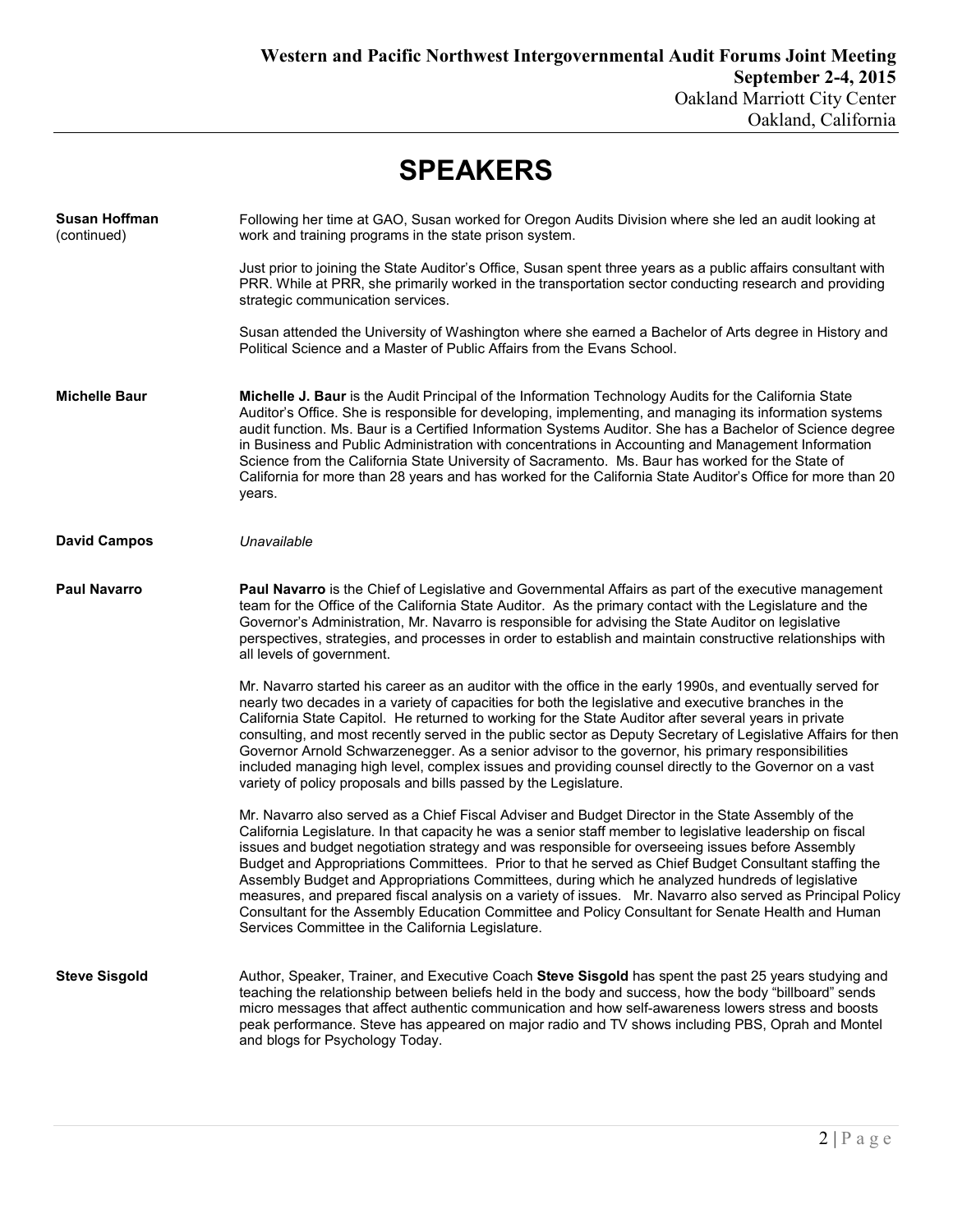| <b>SPEAKERS</b>                     |                                                                                                                                                                                                                                                                                                                                                                                                                                                                                                                                                                                                                                                                                                                                                                                                         |  |
|-------------------------------------|---------------------------------------------------------------------------------------------------------------------------------------------------------------------------------------------------------------------------------------------------------------------------------------------------------------------------------------------------------------------------------------------------------------------------------------------------------------------------------------------------------------------------------------------------------------------------------------------------------------------------------------------------------------------------------------------------------------------------------------------------------------------------------------------------------|--|
| <b>Susan Hoffman</b><br>(continued) | Following her time at GAO, Susan worked for Oregon Audits Division where she led an audit looking at<br>work and training programs in the state prison system.                                                                                                                                                                                                                                                                                                                                                                                                                                                                                                                                                                                                                                          |  |
|                                     | Just prior to joining the State Auditor's Office, Susan spent three years as a public affairs consultant with<br>PRR. While at PRR, she primarily worked in the transportation sector conducting research and providing<br>strategic communication services.                                                                                                                                                                                                                                                                                                                                                                                                                                                                                                                                            |  |
|                                     | Susan attended the University of Washington where she earned a Bachelor of Arts degree in History and<br>Political Science and a Master of Public Affairs from the Evans School.                                                                                                                                                                                                                                                                                                                                                                                                                                                                                                                                                                                                                        |  |
| <b>Michelle Baur</b>                | Michelle J. Baur is the Audit Principal of the Information Technology Audits for the California State<br>Auditor's Office. She is responsible for developing, implementing, and managing its information systems<br>audit function. Ms. Baur is a Certified Information Systems Auditor. She has a Bachelor of Science degree<br>in Business and Public Administration with concentrations in Accounting and Management Information<br>Science from the California State University of Sacramento. Ms. Baur has worked for the State of<br>California for more than 28 years and has worked for the California State Auditor's Office for more than 20<br>years.                                                                                                                                        |  |
| <b>David Campos</b>                 | Unavailable                                                                                                                                                                                                                                                                                                                                                                                                                                                                                                                                                                                                                                                                                                                                                                                             |  |
| <b>Paul Navarro</b>                 | Paul Navarro is the Chief of Legislative and Governmental Affairs as part of the executive management<br>team for the Office of the California State Auditor. As the primary contact with the Legislature and the<br>Governor's Administration, Mr. Navarro is responsible for advising the State Auditor on legislative<br>perspectives, strategies, and processes in order to establish and maintain constructive relationships with<br>all levels of government.                                                                                                                                                                                                                                                                                                                                     |  |
|                                     | Mr. Navarro started his career as an auditor with the office in the early 1990s, and eventually served for<br>nearly two decades in a variety of capacities for both the legislative and executive branches in the<br>California State Capitol. He returned to working for the State Auditor after several years in private<br>consulting, and most recently served in the public sector as Deputy Secretary of Legislative Affairs for then<br>Governor Arnold Schwarzenegger. As a senior advisor to the governor, his primary responsibilities<br>included managing high level, complex issues and providing counsel directly to the Governor on a vast<br>variety of policy proposals and bills passed by the Legislature.                                                                          |  |
|                                     | Mr. Navarro also served as a Chief Fiscal Adviser and Budget Director in the State Assembly of the<br>California Legislature. In that capacity he was a senior staff member to legislative leadership on fiscal<br>issues and budget negotiation strategy and was responsible for overseeing issues before Assembly<br>Budget and Appropriations Committees. Prior to that he served as Chief Budget Consultant staffing the<br>Assembly Budget and Appropriations Committees, during which he analyzed hundreds of legislative<br>measures, and prepared fiscal analysis on a variety of issues. Mr. Navarro also served as Principal Policy<br>Consultant for the Assembly Education Committee and Policy Consultant for Senate Health and Human<br>Services Committee in the California Legislature. |  |
| <b>Steve Sisgold</b>                | Author, Speaker, Trainer, and Executive Coach Steve Sisgold has spent the past 25 years studying and<br>teaching the relationship between beliefs held in the body and success, how the body "billboard" sends<br>micro messages that affect authentic communication and how self-awareness lowers stress and boosts<br>peak performance. Steve has appeared on major radio and TV shows including PBS, Oprah and Montel<br>and blogs for Psychology Today.                                                                                                                                                                                                                                                                                                                                             |  |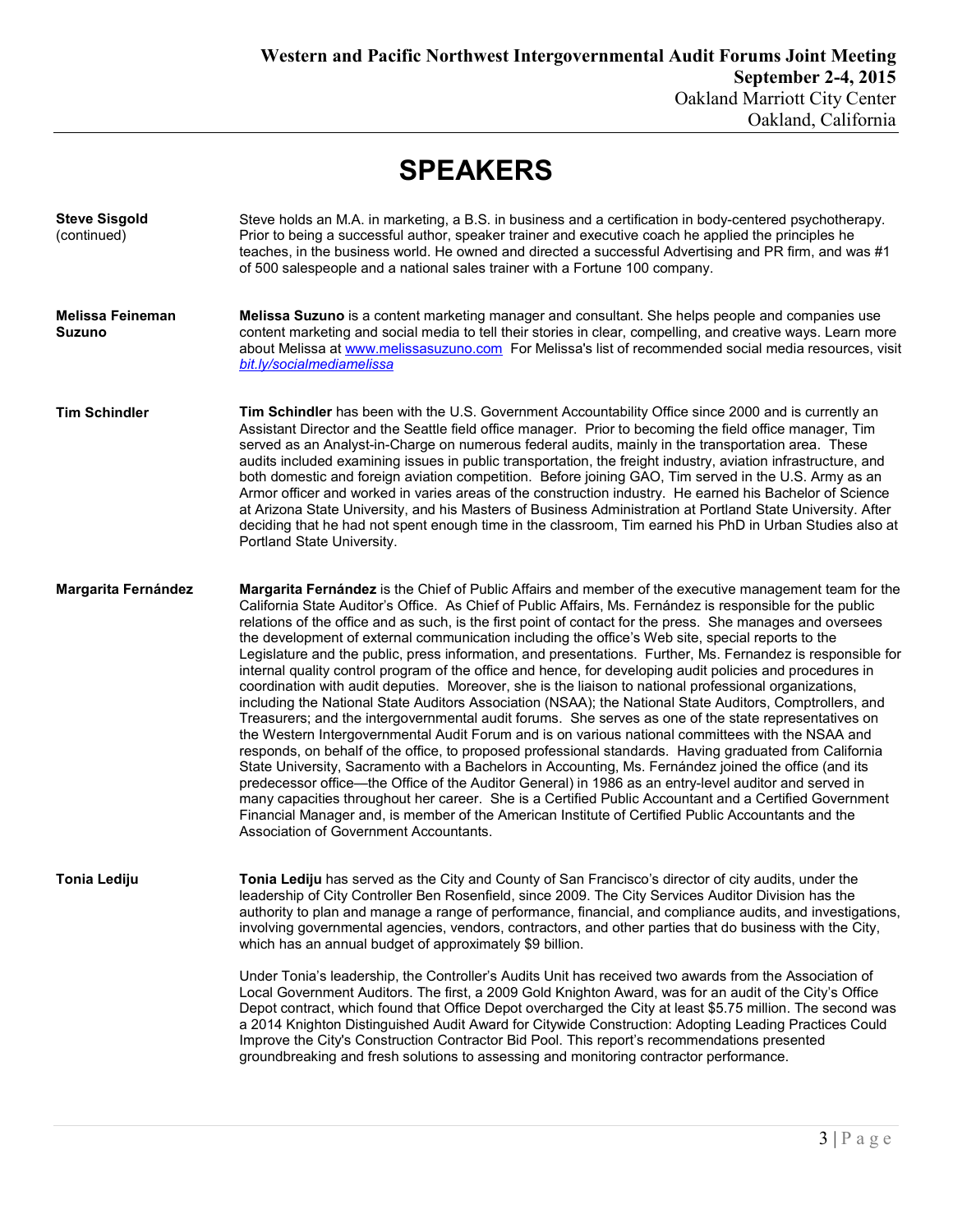## **SPEAKERS**

| <b>Steve Sisgold</b><br>(continued)      | Steve holds an M.A. in marketing, a B.S. in business and a certification in body-centered psychotherapy.<br>Prior to being a successful author, speaker trainer and executive coach he applied the principles he<br>teaches, in the business world. He owned and directed a successful Advertising and PR firm, and was #1<br>of 500 salespeople and a national sales trainer with a Fortune 100 company.                                                                                                                                                                                                                                                                                                                                                                                                                                                                                                                                                                                                                                                                                                                                                                                                                                                                                                                                                                                                                                                                                                                                                                                                                                                                                      |
|------------------------------------------|------------------------------------------------------------------------------------------------------------------------------------------------------------------------------------------------------------------------------------------------------------------------------------------------------------------------------------------------------------------------------------------------------------------------------------------------------------------------------------------------------------------------------------------------------------------------------------------------------------------------------------------------------------------------------------------------------------------------------------------------------------------------------------------------------------------------------------------------------------------------------------------------------------------------------------------------------------------------------------------------------------------------------------------------------------------------------------------------------------------------------------------------------------------------------------------------------------------------------------------------------------------------------------------------------------------------------------------------------------------------------------------------------------------------------------------------------------------------------------------------------------------------------------------------------------------------------------------------------------------------------------------------------------------------------------------------|
| <b>Melissa Feineman</b><br><b>Suzuno</b> | Melissa Suzuno is a content marketing manager and consultant. She helps people and companies use<br>content marketing and social media to tell their stories in clear, compelling, and creative ways. Learn more<br>about Melissa at www.melissasuzuno.com For Melissa's list of recommended social media resources, visit<br>bit.ly/socialmediamelissa                                                                                                                                                                                                                                                                                                                                                                                                                                                                                                                                                                                                                                                                                                                                                                                                                                                                                                                                                                                                                                                                                                                                                                                                                                                                                                                                        |
| <b>Tim Schindler</b>                     | Tim Schindler has been with the U.S. Government Accountability Office since 2000 and is currently an<br>Assistant Director and the Seattle field office manager. Prior to becoming the field office manager, Tim<br>served as an Analyst-in-Charge on numerous federal audits, mainly in the transportation area. These<br>audits included examining issues in public transportation, the freight industry, aviation infrastructure, and<br>both domestic and foreign aviation competition. Before joining GAO, Tim served in the U.S. Army as an<br>Armor officer and worked in varies areas of the construction industry. He earned his Bachelor of Science<br>at Arizona State University, and his Masters of Business Administration at Portland State University. After<br>deciding that he had not spent enough time in the classroom, Tim earned his PhD in Urban Studies also at<br>Portland State University.                                                                                                                                                                                                                                                                                                                                                                                                                                                                                                                                                                                                                                                                                                                                                                         |
| Margarita Fernández                      | Margarita Fernández is the Chief of Public Affairs and member of the executive management team for the<br>California State Auditor's Office. As Chief of Public Affairs, Ms. Fernández is responsible for the public<br>relations of the office and as such, is the first point of contact for the press. She manages and oversees<br>the development of external communication including the office's Web site, special reports to the<br>Legislature and the public, press information, and presentations. Further, Ms. Fernandez is responsible for<br>internal quality control program of the office and hence, for developing audit policies and procedures in<br>coordination with audit deputies. Moreover, she is the liaison to national professional organizations,<br>including the National State Auditors Association (NSAA); the National State Auditors, Comptrollers, and<br>Treasurers; and the intergovernmental audit forums. She serves as one of the state representatives on<br>the Western Intergovernmental Audit Forum and is on various national committees with the NSAA and<br>responds, on behalf of the office, to proposed professional standards. Having graduated from California<br>State University, Sacramento with a Bachelors in Accounting, Ms. Fernández joined the office (and its<br>predecessor office—the Office of the Auditor General) in 1986 as an entry-level auditor and served in<br>many capacities throughout her career. She is a Certified Public Accountant and a Certified Government<br>Financial Manager and, is member of the American Institute of Certified Public Accountants and the<br>Association of Government Accountants. |
| Tonia Lediju                             | Tonia Lediju has served as the City and County of San Francisco's director of city audits, under the<br>leadership of City Controller Ben Rosenfield, since 2009. The City Services Auditor Division has the<br>authority to plan and manage a range of performance, financial, and compliance audits, and investigations,<br>involving governmental agencies, vendors, contractors, and other parties that do business with the City,<br>which has an annual budget of approximately \$9 billion.<br>Under Tonia's leadership, the Controller's Audits Unit has received two awards from the Association of<br>Local Government Auditors. The first, a 2009 Gold Knighton Award, was for an audit of the City's Office<br>Depot contract, which found that Office Depot overcharged the City at least \$5.75 million. The second was                                                                                                                                                                                                                                                                                                                                                                                                                                                                                                                                                                                                                                                                                                                                                                                                                                                          |
|                                          | a 2014 Knighton Distinguished Audit Award for Citywide Construction: Adopting Leading Practices Could<br>Improve the City's Construction Contractor Bid Pool. This report's recommendations presented<br>groundbreaking and fresh solutions to assessing and monitoring contractor performance.                                                                                                                                                                                                                                                                                                                                                                                                                                                                                                                                                                                                                                                                                                                                                                                                                                                                                                                                                                                                                                                                                                                                                                                                                                                                                                                                                                                                |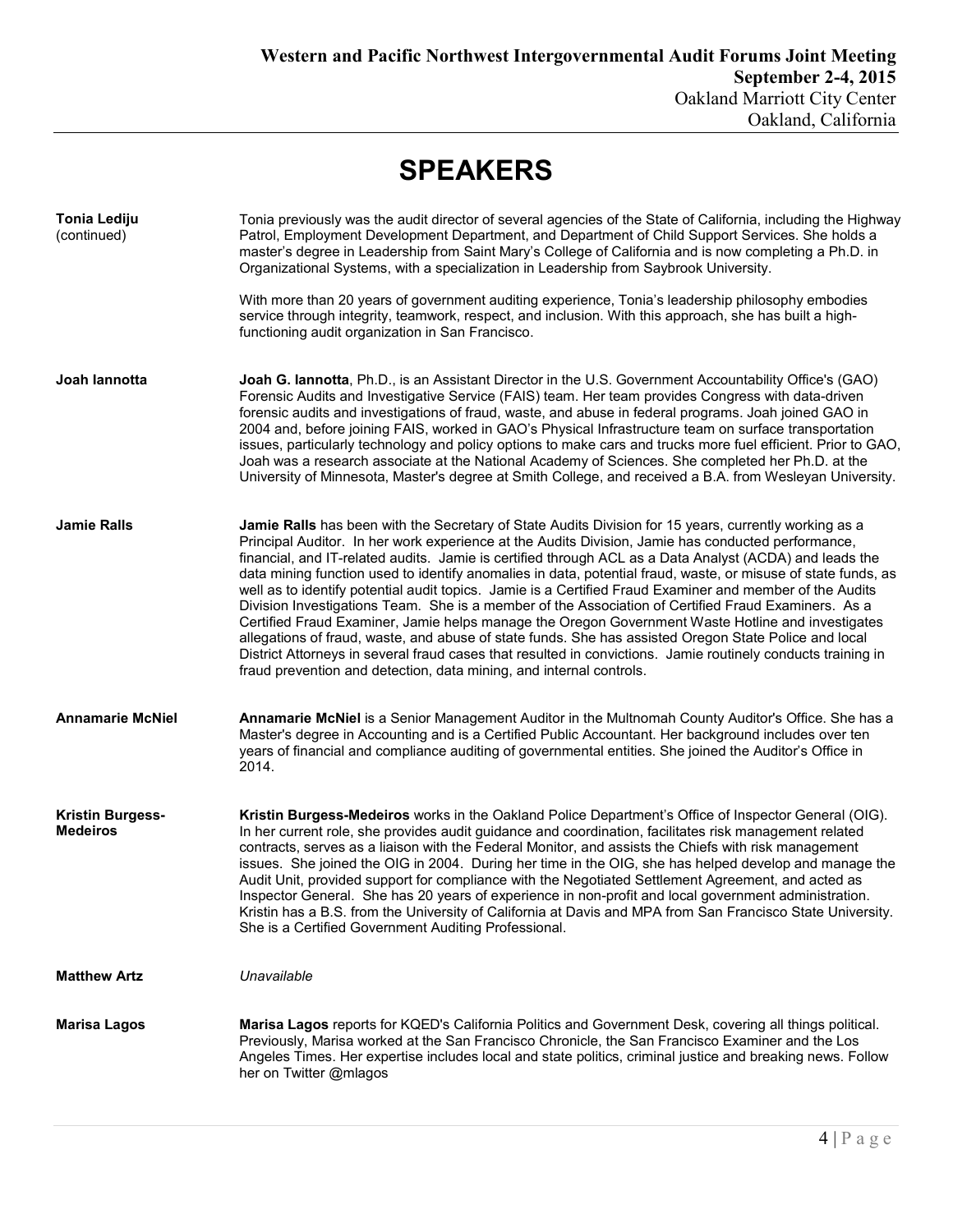| <b>SPEAKERS</b>                            |                                                                                                                                                                                                                                                                                                                                                                                                                                                                                                                                                                                                                                                                                                                                                                                                                                                                                                                                                                                                                                                                 |  |
|--------------------------------------------|-----------------------------------------------------------------------------------------------------------------------------------------------------------------------------------------------------------------------------------------------------------------------------------------------------------------------------------------------------------------------------------------------------------------------------------------------------------------------------------------------------------------------------------------------------------------------------------------------------------------------------------------------------------------------------------------------------------------------------------------------------------------------------------------------------------------------------------------------------------------------------------------------------------------------------------------------------------------------------------------------------------------------------------------------------------------|--|
| <b>Tonia Lediju</b><br>(continued)         | Tonia previously was the audit director of several agencies of the State of California, including the Highway<br>Patrol, Employment Development Department, and Department of Child Support Services. She holds a<br>master's degree in Leadership from Saint Mary's College of California and is now completing a Ph.D. in<br>Organizational Systems, with a specialization in Leadership from Saybrook University.                                                                                                                                                                                                                                                                                                                                                                                                                                                                                                                                                                                                                                            |  |
|                                            | With more than 20 years of government auditing experience, Tonia's leadership philosophy embodies<br>service through integrity, teamwork, respect, and inclusion. With this approach, she has built a high-<br>functioning audit organization in San Francisco.                                                                                                                                                                                                                                                                                                                                                                                                                                                                                                                                                                                                                                                                                                                                                                                                 |  |
| Joah lannotta                              | Joah G. Iannotta, Ph.D., is an Assistant Director in the U.S. Government Accountability Office's (GAO)<br>Forensic Audits and Investigative Service (FAIS) team. Her team provides Congress with data-driven<br>forensic audits and investigations of fraud, waste, and abuse in federal programs. Joah joined GAO in<br>2004 and, before joining FAIS, worked in GAO's Physical Infrastructure team on surface transportation<br>issues, particularly technology and policy options to make cars and trucks more fuel efficient. Prior to GAO,<br>Joah was a research associate at the National Academy of Sciences. She completed her Ph.D. at the<br>University of Minnesota, Master's degree at Smith College, and received a B.A. from Wesleyan University.                                                                                                                                                                                                                                                                                                |  |
| <b>Jamie Ralls</b>                         | Jamie Ralls has been with the Secretary of State Audits Division for 15 years, currently working as a<br>Principal Auditor. In her work experience at the Audits Division, Jamie has conducted performance,<br>financial, and IT-related audits. Jamie is certified through ACL as a Data Analyst (ACDA) and leads the<br>data mining function used to identify anomalies in data, potential fraud, waste, or misuse of state funds, as<br>well as to identify potential audit topics. Jamie is a Certified Fraud Examiner and member of the Audits<br>Division Investigations Team. She is a member of the Association of Certified Fraud Examiners. As a<br>Certified Fraud Examiner, Jamie helps manage the Oregon Government Waste Hotline and investigates<br>allegations of fraud, waste, and abuse of state funds. She has assisted Oregon State Police and local<br>District Attorneys in several fraud cases that resulted in convictions. Jamie routinely conducts training in<br>fraud prevention and detection, data mining, and internal controls. |  |
| <b>Annamarie McNiel</b>                    | Annamarie McNiel is a Senior Management Auditor in the Multnomah County Auditor's Office. She has a<br>Master's degree in Accounting and is a Certified Public Accountant. Her background includes over ten<br>years of financial and compliance auditing of governmental entities. She joined the Auditor's Office in<br>2014.                                                                                                                                                                                                                                                                                                                                                                                                                                                                                                                                                                                                                                                                                                                                 |  |
| <b>Kristin Burgess-</b><br><b>Medeiros</b> | Kristin Burgess-Medeiros works in the Oakland Police Department's Office of Inspector General (OIG).<br>In her current role, she provides audit guidance and coordination, facilitates risk management related<br>contracts, serves as a liaison with the Federal Monitor, and assists the Chiefs with risk management<br>issues. She joined the OIG in 2004. During her time in the OIG, she has helped develop and manage the<br>Audit Unit, provided support for compliance with the Negotiated Settlement Agreement, and acted as<br>Inspector General. She has 20 years of experience in non-profit and local government administration.<br>Kristin has a B.S. from the University of California at Davis and MPA from San Francisco State University.<br>She is a Certified Government Auditing Professional.                                                                                                                                                                                                                                             |  |
| <b>Matthew Artz</b>                        | Unavailable                                                                                                                                                                                                                                                                                                                                                                                                                                                                                                                                                                                                                                                                                                                                                                                                                                                                                                                                                                                                                                                     |  |
| <b>Marisa Lagos</b>                        | Marisa Lagos reports for KQED's California Politics and Government Desk, covering all things political.<br>Previously, Marisa worked at the San Francisco Chronicle, the San Francisco Examiner and the Los<br>Angeles Times. Her expertise includes local and state politics, criminal justice and breaking news. Follow<br>her on Twitter @mlagos                                                                                                                                                                                                                                                                                                                                                                                                                                                                                                                                                                                                                                                                                                             |  |